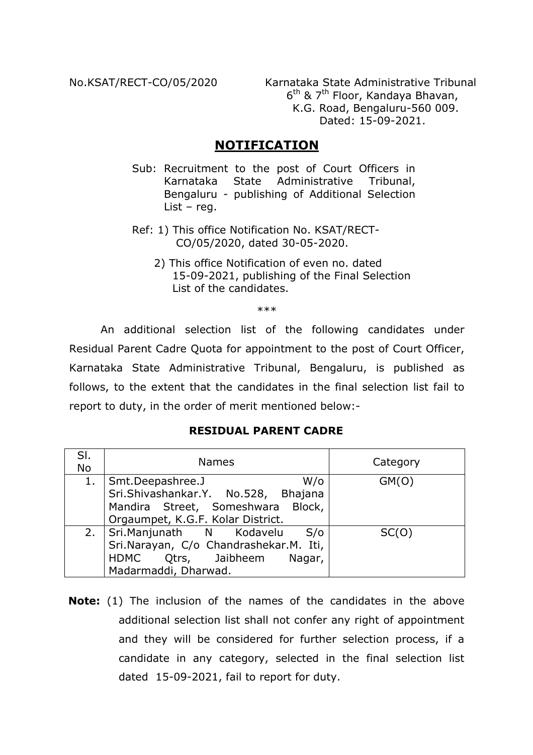No.KSAT/RECT-CO/05/2020 Karnataka State Administrative Tribunal 6th & 7th Floor, Kandaya Bhavan, K.G. Road, Bengaluru-560 009. Dated: 15-09-2021.

## **NOTIFICATION**

- Sub: Recruitment to the post of Court Officers in Karnataka State Administrative Tribunal, Bengaluru - publishing of Additional Selection List – reg.
- Ref: 1) This office Notification No. KSAT/RECT- CO/05/2020, dated 30-05-2020.
	- 2) This office Notification of even no. dated 15-09-2021, publishing of the Final Selection List of the candidates.

\*\*\*

An additional selection list of the following candidates under Residual Parent Cadre Quota for appointment to the post of Court Officer, Karnataka State Administrative Tribunal, Bengaluru, is published as follows, to the extent that the candidates in the final selection list fail to report to duty, in the order of merit mentioned below:-

## **RESIDUAL PARENT CADRE**

| SI.<br>No | <b>Names</b>                                                             | Category |
|-----------|--------------------------------------------------------------------------|----------|
| 1.        | $W$ / $\circ$<br>Smt.Deepashree.J<br>Sri.Shivashankar.Y. No.528, Bhajana | GM(O)    |
|           |                                                                          |          |
|           | Mandira Street, Someshwara Block,                                        |          |
|           | Orgaumpet, K.G.F. Kolar District.                                        |          |
| 2.        | Sri.Manjunath N Kodavelu<br>S/O                                          | SC(O)    |
|           | Sri.Narayan, C/o Chandrashekar.M. Iti,                                   |          |
|           | HDMC Qtrs, Jaibheem<br>Nagar,                                            |          |
|           | Madarmaddi, Dharwad.                                                     |          |

**Note:** (1) The inclusion of the names of the candidates in the above additional selection list shall not confer any right of appointment and they will be considered for further selection process, if a candidate in any category, selected in the final selection list dated 15-09-2021, fail to report for duty.